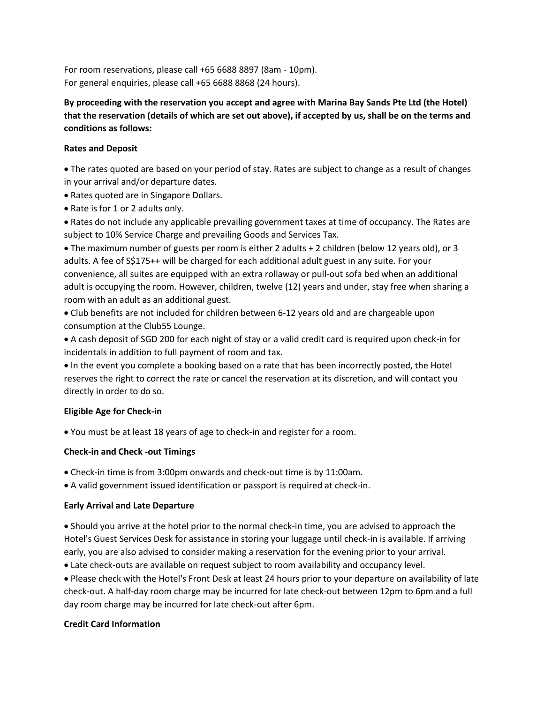For room reservations, please call +65 6688 8897 (8am - 10pm). For general enquiries, please call +65 6688 8868 (24 hours).

**By proceeding with the reservation you accept and agree with Marina Bay Sands Pte Ltd (the Hotel) that the reservation (details of which are set out above), if accepted by us, shall be on the terms and conditions as follows:** 

### **Rates and Deposit**

 The rates quoted are based on your period of stay. Rates are subject to change as a result of changes in your arrival and/or departure dates.

- Rates quoted are in Singapore Dollars.
- Rate is for 1 or 2 adults only.

 Rates do not include any applicable prevailing government taxes at time of occupancy. The Rates are subject to 10% Service Charge and prevailing Goods and Services Tax.

 The maximum number of guests per room is either 2 adults + 2 children (below 12 years old), or 3 adults. A fee of S\$175++ will be charged for each additional adult guest in any suite. For your convenience, all suites are equipped with an extra rollaway or pull-out sofa bed when an additional adult is occupying the room. However, children, twelve (12) years and under, stay free when sharing a room with an adult as an additional guest.

 Club benefits are not included for children between 6-12 years old and are chargeable upon consumption at the Club55 Lounge.

 A cash deposit of SGD 200 for each night of stay or a valid credit card is required upon check-in for incidentals in addition to full payment of room and tax.

 $\bullet$  In the event you complete a booking based on a rate that has been incorrectly posted, the Hotel reserves the right to correct the rate or cancel the reservation at its discretion, and will contact you directly in order to do so.

#### **Eligible Age for Check-in**

You must be at least 18 years of age to check-in and register for a room.

# **Check-in and Check -out Timings**

Check-in time is from 3:00pm onwards and check-out time is by 11:00am.

A valid government issued identification or passport is required at check-in.

#### **Early Arrival and Late Departure**

 Should you arrive at the hotel prior to the normal check-in time, you are advised to approach the Hotel's Guest Services Desk for assistance in storing your luggage until check-in is available. If arriving early, you are also advised to consider making a reservation for the evening prior to your arrival.

Late check-outs are available on request subject to room availability and occupancy level.

 Please check with the Hotel's Front Desk at least 24 hours prior to your departure on availability of late check-out. A half-day room charge may be incurred for late check-out between 12pm to 6pm and a full day room charge may be incurred for late check-out after 6pm.

#### **Credit Card Information**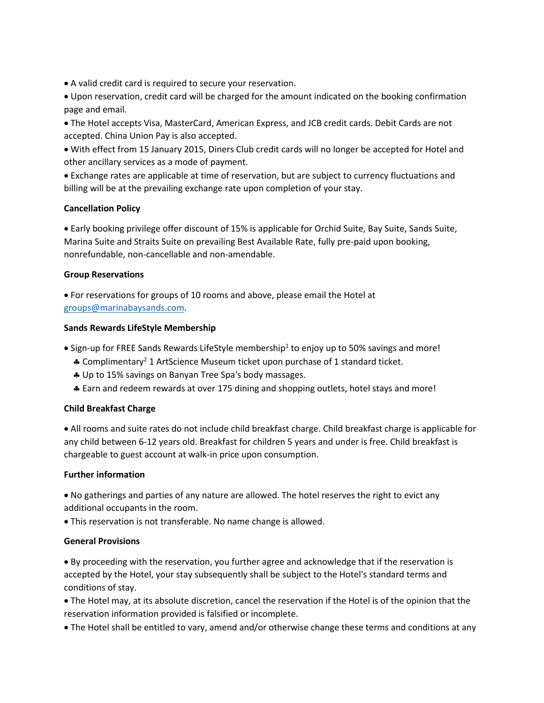- A valid credit card is required to secure your reservation.
- Upon reservation, credit card will be charged for the amount indicated on the booking confirmation page and email.
- The Hotel accepts Visa, MasterCard, American Express, and JCB credit cards. Debit Cards are not accepted. China Union Pay is also accepted.
- With effect from 15 January 2015, Diners Club credit cards will no longer be accepted for Hotel and other ancillary services as a mode of payment.
- Exchange rates are applicable at time of reservation, but are subject to currency fluctuations and billing will be at the prevailing exchange rate upon completion of your stay.

## **Cancellation Policy**

 Early booking privilege offer discount of 15% is applicable for Orchid Suite, Bay Suite, Sands Suite, Marina Suite and Straits Suite on prevailing Best Available Rate, fully pre-paid upon booking, nonrefundable, non-cancellable and non-amendable.

#### **Group Reservations**

 For reservations for groups of 10 rooms and above, please email the Hotel at [groups@marinabaysands.com.](mailto:groups@marinabaysands.com)

## **Sands Rewards LifeStyle Membership**

- $\bullet$  Sign-up for FREE Sands Rewards LifeStyle membership<sup>1</sup> to enjoy up to 50% savings and more!
- Complimentary<sup>2</sup> 1 ArtScience Museum ticket upon purchase of 1 standard ticket.
- Up to 15% savings on Banyan Tree Spa's body massages.
- Earn and redeem rewards at over 175 dining and shopping outlets, hotel stays and more!

# **Child Breakfast Charge**

 All rooms and suite rates do not include child breakfast charge. Child breakfast charge is applicable for any child between 6-12 years old. Breakfast for children 5 years and under is free. Child breakfast is chargeable to guest account at walk-in price upon consumption.

#### **Further information**

 No gatherings and parties of any nature are allowed. The hotel reserves the right to evict any additional occupants in the room.

This reservation is not transferable. No name change is allowed.

#### **General Provisions**

 By proceeding with the reservation, you further agree and acknowledge that if the reservation is accepted by the Hotel, your stay subsequently shall be subject to the Hotel's standard terms and conditions of stay.

- The Hotel may, at its absolute discretion, cancel the reservation if the Hotel is of the opinion that the reservation information provided is falsified or incomplete.
- The Hotel shall be entitled to vary, amend and/or otherwise change these terms and conditions at any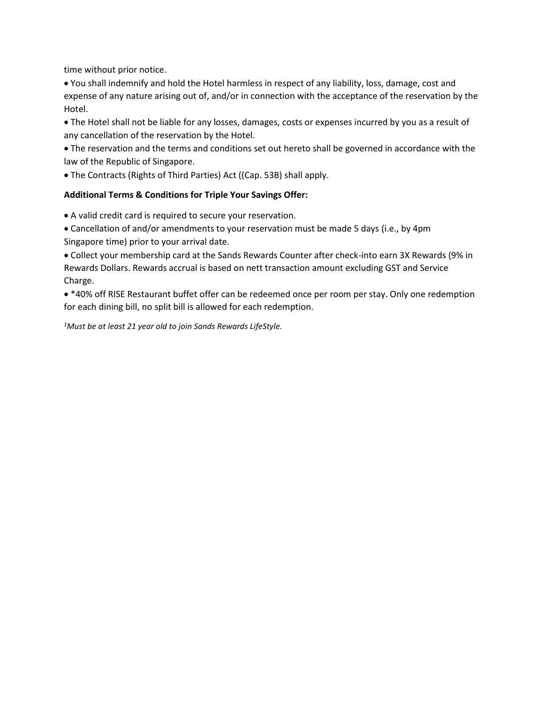time without prior notice.

 You shall indemnify and hold the Hotel harmless in respect of any liability, loss, damage, cost and expense of any nature arising out of, and/or in connection with the acceptance of the reservation by the Hotel.

 The Hotel shall not be liable for any losses, damages, costs or expenses incurred by you as a result of any cancellation of the reservation by the Hotel.

 The reservation and the terms and conditions set out hereto shall be governed in accordance with the law of the Republic of Singapore.

The Contracts (Rights of Third Parties) Act ((Cap. 53B) shall apply.

## **Additional Terms & Conditions for Triple Your Savings Offer:**

A valid credit card is required to secure your reservation.

 Cancellation of and/or amendments to your reservation must be made 5 days (i.e., by 4pm Singapore time) prior to your arrival date.

 Collect your membership card at the Sands Rewards Counter after check-into earn 3X Rewards (9% in Rewards Dollars. Rewards accrual is based on nett transaction amount excluding GST and Service Charge.

 \*40% off RISE Restaurant buffet offer can be redeemed once per room per stay. Only one redemption for each dining bill, no split bill is allowed for each redemption.

*1Must be at least 21 year old to join Sands Rewards LifeStyle.*